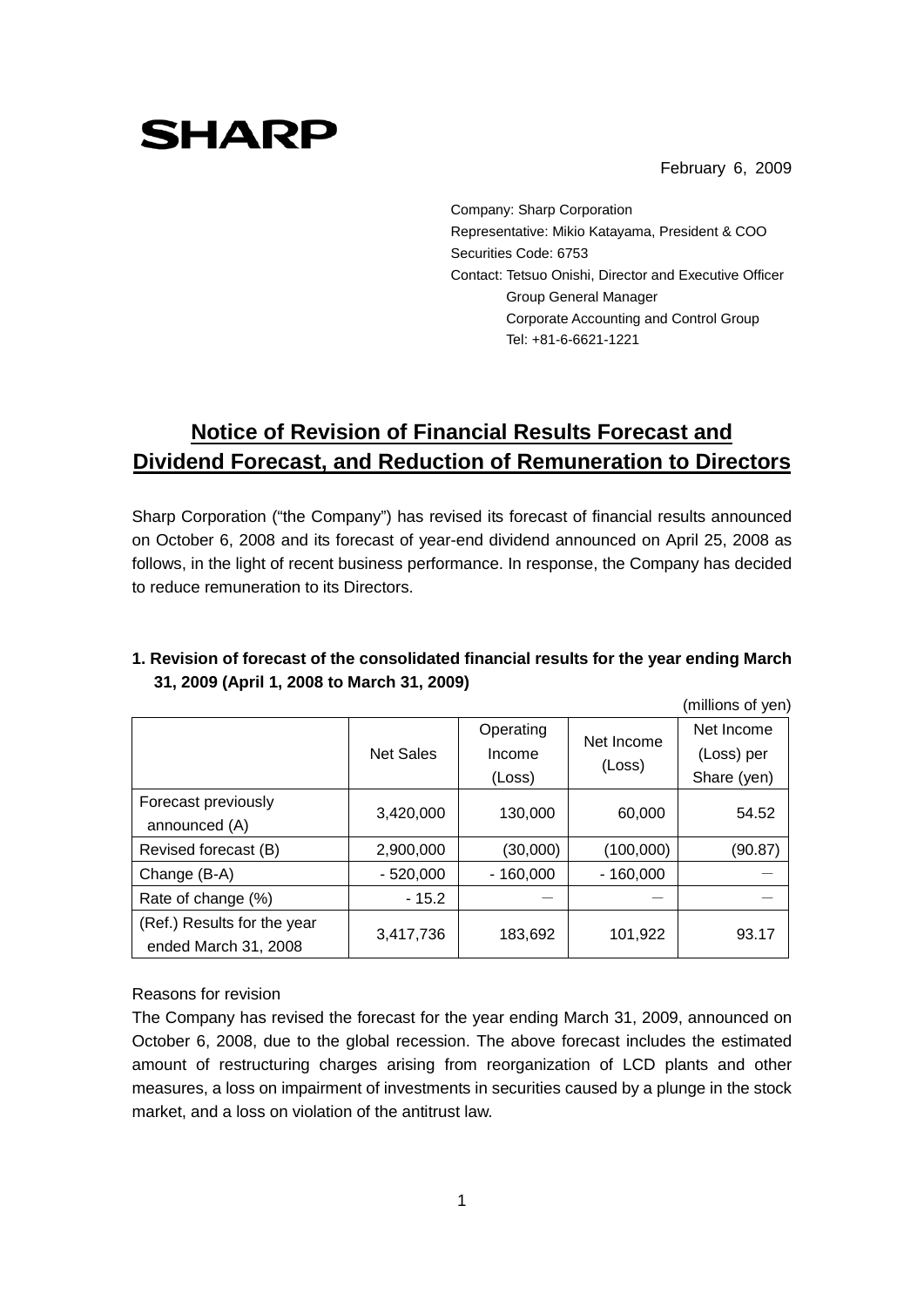#### February 6, 2009

**SHARP** 

Company: Sharp Corporation Representative: Mikio Katayama, President & COO Securities Code: 6753 Contact: Tetsuo Onishi, Director and Executive Officer Group General Manager Corporate Accounting and Control Group Tel: +81-6-6621-1221

# **Notice of Revision of Financial Results Forecast and Dividend Forecast, and Reduction of Remuneration to Directors**

Sharp Corporation ("the Company") has revised its forecast of financial results announced on October 6, 2008 and its forecast of year-end dividend announced on April 25, 2008 as follows, in the light of recent business performance. In response, the Company has decided to reduce remuneration to its Directors.

|                                                     |                  |                               |                      | (millions of yen)                       |
|-----------------------------------------------------|------------------|-------------------------------|----------------------|-----------------------------------------|
|                                                     | <b>Net Sales</b> | Operating<br>Income<br>(Loss) | Net Income<br>(Loss) | Net Income<br>(Loss) per<br>Share (yen) |
| Forecast previously<br>announced (A)                | 3,420,000        | 130,000                       | 60,000               | 54.52                                   |
| Revised forecast (B)                                | 2,900,000        | (30,000)                      | (100,000)            | (90.87)                                 |
| Change (B-A)                                        | $-520,000$       | $-160,000$                    | $-160,000$           |                                         |
| Rate of change (%)                                  | $-15.2$          |                               |                      |                                         |
| (Ref.) Results for the year<br>ended March 31, 2008 | 3,417,736        | 183,692                       | 101,922              | 93.17                                   |

## **1. Revision of forecast of the consolidated financial results for the year ending March 31, 2009 (April 1, 2008 to March 31, 2009)**

Reasons for revision

The Company has revised the forecast for the year ending March 31, 2009, announced on October 6, 2008, due to the global recession. The above forecast includes the estimated amount of restructuring charges arising from reorganization of LCD plants and other measures, a loss on impairment of investments in securities caused by a plunge in the stock market, and a loss on violation of the antitrust law.